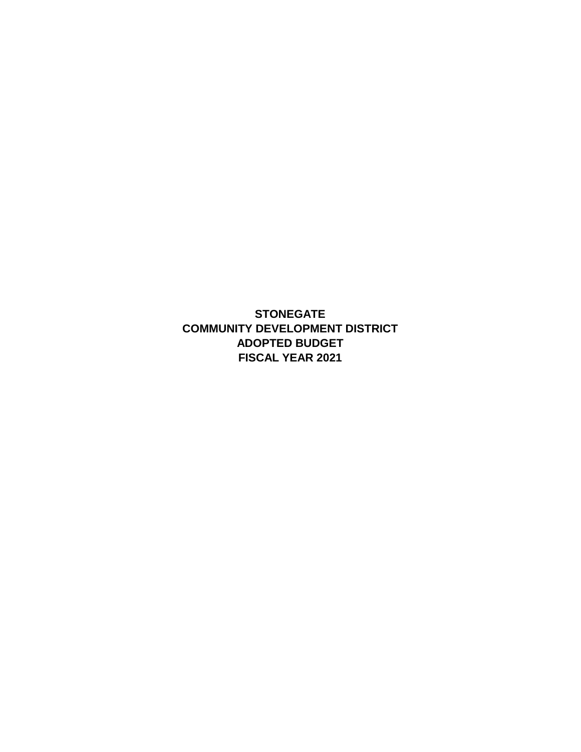**STONEGATE FISCAL YEAR 2021 ADOPTED BUDGET COMMUNITY DEVELOPMENT DISTRICT**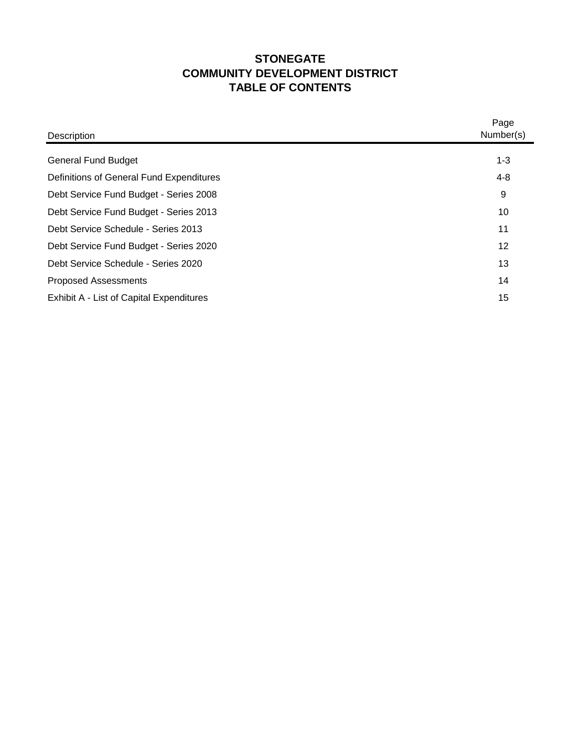## **STONEGATE TABLE OF CONTENTS COMMUNITY DEVELOPMENT DISTRICT**

| Description                              | Page<br>Number(s) |
|------------------------------------------|-------------------|
|                                          |                   |
| <b>General Fund Budget</b>               | $1 - 3$           |
| Definitions of General Fund Expenditures | $4 - 8$           |
| Debt Service Fund Budget - Series 2008   | 9                 |
| Debt Service Fund Budget - Series 2013   | 10                |
| Debt Service Schedule - Series 2013      | 11                |
| Debt Service Fund Budget - Series 2020   | 12                |
| Debt Service Schedule - Series 2020      | 13                |
| <b>Proposed Assessments</b>              | 14                |
| Exhibit A - List of Capital Expenditures | 15                |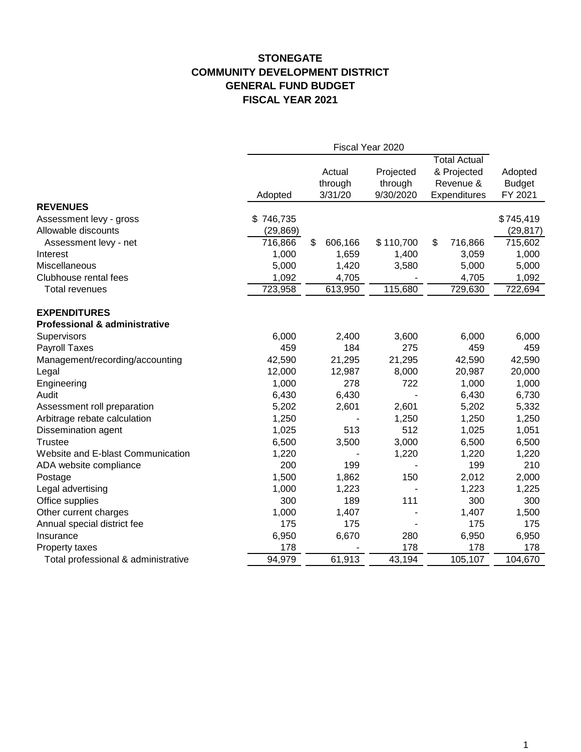#### **STONEGATE COMMUNITY DEVELOPMENT DISTRICT GENERAL FUND BUDGET FISCAL YEAR 2021**

|                                                                 | Fiscal Year 2020 |               |           |                     |               |
|-----------------------------------------------------------------|------------------|---------------|-----------|---------------------|---------------|
|                                                                 |                  |               |           | <b>Total Actual</b> |               |
|                                                                 |                  | Actual        | Projected | & Projected         | Adopted       |
|                                                                 |                  | through       | through   | Revenue &           | <b>Budget</b> |
|                                                                 | Adopted          | 3/31/20       | 9/30/2020 | Expenditures        | FY 2021       |
| <b>REVENUES</b>                                                 |                  |               |           |                     |               |
| Assessment levy - gross                                         | \$746,735        |               |           |                     | \$745,419     |
| Allowable discounts                                             | (29, 869)        |               |           |                     | (29, 817)     |
| Assessment levy - net                                           | 716,866          | \$<br>606,166 | \$110,700 | \$<br>716,866       | 715,602       |
| Interest                                                        | 1,000            | 1,659         | 1,400     | 3,059               | 1,000         |
| Miscellaneous                                                   | 5,000            | 1,420         | 3,580     | 5,000               | 5,000         |
| Clubhouse rental fees                                           | 1,092            | 4,705         |           | 4,705               | 1,092         |
| <b>Total revenues</b>                                           | 723,958          | 613,950       | 115,680   | 729,630             | 722,694       |
|                                                                 |                  |               |           |                     |               |
| <b>EXPENDITURES</b><br><b>Professional &amp; administrative</b> |                  |               |           |                     |               |
| Supervisors                                                     | 6,000            | 2,400         | 3,600     | 6,000               | 6,000         |
| Payroll Taxes                                                   | 459              | 184           | 275       | 459                 | 459           |
| Management/recording/accounting                                 | 42,590           | 21,295        | 21,295    | 42,590              | 42,590        |
| Legal                                                           | 12,000           | 12,987        | 8,000     | 20,987              | 20,000        |
| Engineering                                                     | 1,000            | 278           | 722       | 1,000               | 1,000         |
| Audit                                                           | 6,430            | 6,430         |           | 6,430               | 6,730         |
| Assessment roll preparation                                     | 5,202            | 2,601         | 2,601     | 5,202               | 5,332         |
| Arbitrage rebate calculation                                    | 1,250            |               | 1,250     | 1,250               | 1,250         |
| Dissemination agent                                             | 1,025            | 513           | 512       | 1,025               | 1,051         |
| <b>Trustee</b>                                                  | 6,500            | 3,500         | 3,000     | 6,500               | 6,500         |
| Website and E-blast Communication                               | 1,220            |               | 1,220     | 1,220               | 1,220         |
| ADA website compliance                                          | 200              | 199           |           | 199                 | 210           |
| Postage                                                         | 1,500            | 1,862         | 150       | 2,012               | 2,000         |
| Legal advertising                                               | 1,000            | 1,223         |           | 1,223               | 1,225         |
| Office supplies                                                 | 300              | 189           | 111       | 300                 | 300           |
| Other current charges                                           | 1,000            | 1,407         |           | 1,407               | 1,500         |
| Annual special district fee                                     | 175              | 175           |           | 175                 | 175           |
| Insurance                                                       | 6,950            | 6,670         | 280       | 6,950               | 6,950         |
| Property taxes                                                  | 178              |               | 178       | 178                 | 178           |
| Total professional & administrative                             | 94,979           | 61,913        | 43,194    | 105,107             | 104,670       |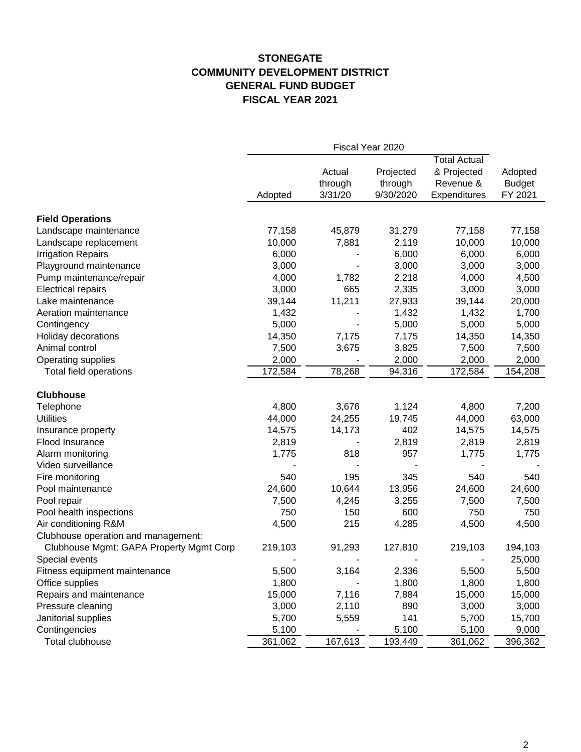#### **STONEGATE COMMUNITY DEVELOPMENT DISTRICT GENERAL FUND BUDGET FISCAL YEAR 2021**

|                                         | Fiscal Year 2020 |         |           |                     |               |  |
|-----------------------------------------|------------------|---------|-----------|---------------------|---------------|--|
|                                         |                  |         |           | <b>Total Actual</b> |               |  |
|                                         |                  | Actual  | Projected | & Projected         | Adopted       |  |
|                                         |                  | through | through   | Revenue &           | <b>Budget</b> |  |
|                                         | Adopted          | 3/31/20 | 9/30/2020 | Expenditures        | FY 2021       |  |
| <b>Field Operations</b>                 |                  |         |           |                     |               |  |
| Landscape maintenance                   | 77,158           | 45,879  | 31,279    | 77,158              | 77,158        |  |
| Landscape replacement                   | 10,000           | 7,881   | 2,119     | 10,000              | 10,000        |  |
| <b>Irrigation Repairs</b>               | 6,000            |         | 6,000     | 6,000               | 6,000         |  |
| Playground maintenance                  | 3,000            |         | 3,000     | 3,000               | 3,000         |  |
| Pump maintenance/repair                 | 4,000            | 1,782   | 2,218     | 4,000               | 4,500         |  |
| <b>Electrical repairs</b>               | 3,000            | 665     | 2,335     | 3,000               | 3,000         |  |
| Lake maintenance                        | 39,144           | 11,211  | 27,933    | 39,144              | 20,000        |  |
| Aeration maintenance                    | 1,432            |         | 1,432     | 1,432               | 1,700         |  |
| Contingency                             | 5,000            |         | 5,000     | 5,000               | 5,000         |  |
| Holiday decorations                     | 14,350           | 7,175   | 7,175     | 14,350              | 14,350        |  |
| Animal control                          | 7,500            | 3,675   | 3,825     | 7,500               | 7,500         |  |
| Operating supplies                      | 2,000            |         | 2,000     | 2,000               | 2,000         |  |
| Total field operations                  | 172,584          | 78,268  | 94,316    | 172,584             | 154,208       |  |
| <b>Clubhouse</b>                        |                  |         |           |                     |               |  |
| Telephone                               | 4,800            | 3,676   | 1,124     | 4,800               | 7,200         |  |
| <b>Utilities</b>                        | 44,000           | 24,255  | 19,745    | 44,000              | 63,000        |  |
| Insurance property                      | 14,575           | 14,173  | 402       | 14,575              | 14,575        |  |
| Flood Insurance                         | 2,819            |         | 2,819     | 2,819               | 2,819         |  |
| Alarm monitoring                        | 1,775            | 818     | 957       | 1,775               | 1,775         |  |
| Video surveillance                      |                  |         |           |                     |               |  |
| Fire monitoring                         | 540              | 195     | 345       | 540                 | 540           |  |
| Pool maintenance                        | 24,600           | 10,644  | 13,956    | 24,600              | 24,600        |  |
| Pool repair                             | 7,500            | 4,245   | 3,255     | 7,500               | 7,500         |  |
| Pool health inspections                 | 750              | 150     | 600       | 750                 | 750           |  |
| Air conditioning R&M                    | 4,500            | 215     | 4,285     | 4,500               | 4,500         |  |
| Clubhouse operation and management:     |                  |         |           |                     |               |  |
| Clubhouse Mgmt: GAPA Property Mgmt Corp | 219,103          | 91,293  | 127,810   | 219,103             | 194,103       |  |
| Special events                          |                  |         |           |                     | 25,000        |  |
| Fitness equipment maintenance           | 5,500            | 3,164   | 2,336     | 5,500               | 5,500         |  |
| Office supplies                         | 1,800            |         | 1,800     | 1,800               | 1,800         |  |
| Repairs and maintenance                 | 15,000           | 7,116   | 7,884     | 15,000              | 15,000        |  |
| Pressure cleaning                       | 3,000            | 2,110   | 890       | 3,000               | 3,000         |  |
| Janitorial supplies                     | 5,700            | 5,559   | 141       | 5,700               | 15,700        |  |
| Contingencies                           | 5,100            |         | 5,100     | 5,100               | 9,000         |  |
| Total clubhouse                         | 361,062          | 167,613 | 193,449   | 361,062             | 396,362       |  |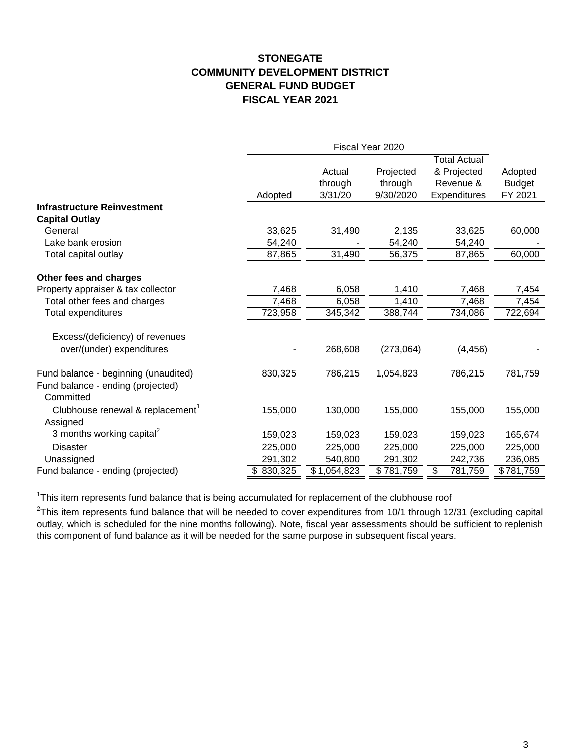#### **STONEGATE COMMUNITY DEVELOPMENT DISTRICT GENERAL FUND BUDGET FISCAL YEAR 2021**

|                                                          | Fiscal Year 2020 |             |           |                     |               |
|----------------------------------------------------------|------------------|-------------|-----------|---------------------|---------------|
|                                                          |                  |             |           | <b>Total Actual</b> |               |
|                                                          |                  | Actual      | Projected | & Projected         | Adopted       |
|                                                          |                  | through     | through   | Revenue &           | <b>Budget</b> |
|                                                          | Adopted          | 3/31/20     | 9/30/2020 | Expenditures        | FY 2021       |
| <b>Infrastructure Reinvestment</b>                       |                  |             |           |                     |               |
| <b>Capital Outlay</b>                                    |                  |             |           |                     |               |
| General                                                  | 33,625           | 31,490      | 2,135     | 33,625              | 60,000        |
| Lake bank erosion                                        | 54,240           |             | 54,240    | 54,240              |               |
| Total capital outlay                                     | 87,865           | 31,490      | 56,375    | 87,865              | 60,000        |
| Other fees and charges                                   |                  |             |           |                     |               |
| Property appraiser & tax collector                       | 7,468            | 6,058       | 1,410     | 7,468               | 7,454         |
| Total other fees and charges                             | 7,468            | 6,058       | 1,410     | 7,468               | 7,454         |
| Total expenditures                                       | 723,958          | 345,342     | 388,744   | 734,086             | 722,694       |
| Excess/(deficiency) of revenues                          |                  |             |           |                     |               |
| over/(under) expenditures                                |                  | 268,608     | (273,064) | (4, 456)            |               |
| Fund balance - beginning (unaudited)                     | 830,325          | 786,215     | 1,054,823 | 786,215             | 781,759       |
| Fund balance - ending (projected)<br>Committed           |                  |             |           |                     |               |
| Clubhouse renewal & replacement <sup>1</sup><br>Assigned | 155,000          | 130,000     | 155,000   | 155,000             | 155,000       |
| 3 months working capital <sup>2</sup>                    | 159,023          | 159,023     | 159,023   | 159,023             | 165,674       |
| <b>Disaster</b>                                          | 225,000          | 225,000     | 225,000   | 225,000             | 225,000       |
| Unassigned                                               | 291,302          | 540,800     | 291,302   | 242,736             | 236,085       |
| Fund balance - ending (projected)                        | \$830,325        | \$1,054,823 | \$781,759 | \$<br>781,759       | \$781,759     |

<sup>1</sup>This item represents fund balance that is being accumulated for replacement of the clubhouse roof

 $^{2}$ This item represents fund balance that will be needed to cover expenditures from 10/1 through 12/31 (excluding capital outlay, which is scheduled for the nine months following). Note, fiscal year assessments should be sufficient to replenish this component of fund balance as it will be needed for the same purpose in subsequent fiscal years.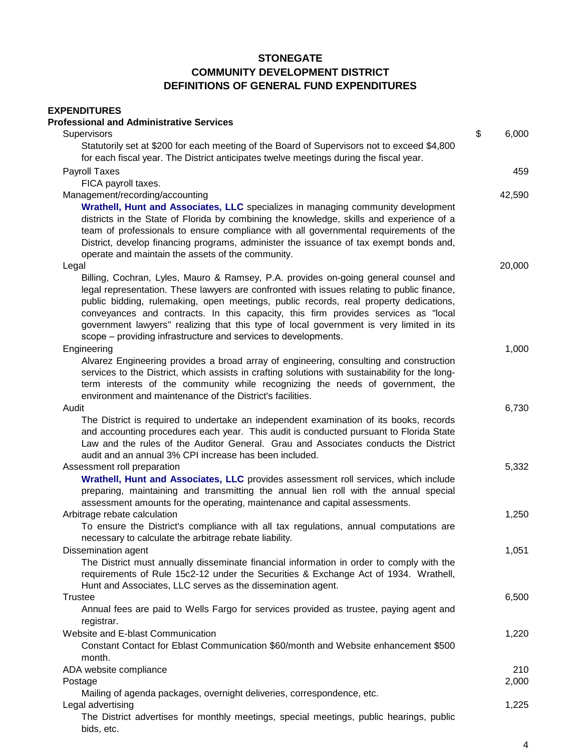# **EXPENDITURES**

| <b>Professional and Administrative Services</b>                                                                                                                                       |             |
|---------------------------------------------------------------------------------------------------------------------------------------------------------------------------------------|-------------|
| Supervisors                                                                                                                                                                           | \$<br>6,000 |
| Statutorily set at \$200 for each meeting of the Board of Supervisors not to exceed \$4,800<br>for each fiscal year. The District anticipates twelve meetings during the fiscal year. |             |
| Payroll Taxes                                                                                                                                                                         | 459         |
| FICA payroll taxes.                                                                                                                                                                   |             |
| Management/recording/accounting                                                                                                                                                       | 42,590      |
| Wrathell, Hunt and Associates, LLC specializes in managing community development                                                                                                      |             |
| districts in the State of Florida by combining the knowledge, skills and experience of a                                                                                              |             |
| team of professionals to ensure compliance with all governmental requirements of the                                                                                                  |             |
| District, develop financing programs, administer the issuance of tax exempt bonds and,                                                                                                |             |
| operate and maintain the assets of the community.                                                                                                                                     |             |
| Legal                                                                                                                                                                                 | 20,000      |
| Billing, Cochran, Lyles, Mauro & Ramsey, P.A. provides on-going general counsel and<br>legal representation. These lawyers are confronted with issues relating to public finance,     |             |
| public bidding, rulemaking, open meetings, public records, real property dedications,<br>conveyances and contracts. In this capacity, this firm provides services as "local           |             |
| government lawyers" realizing that this type of local government is very limited in its                                                                                               |             |
| scope – providing infrastructure and services to developments.                                                                                                                        |             |
| Engineering                                                                                                                                                                           | 1,000       |
| Alvarez Engineering provides a broad array of engineering, consulting and construction                                                                                                |             |
| services to the District, which assists in crafting solutions with sustainability for the long-                                                                                       |             |
| term interests of the community while recognizing the needs of government, the                                                                                                        |             |
| environment and maintenance of the District's facilities.                                                                                                                             |             |
| Audit                                                                                                                                                                                 | 6,730       |
| The District is required to undertake an independent examination of its books, records                                                                                                |             |
| and accounting procedures each year. This audit is conducted pursuant to Florida State                                                                                                |             |
| Law and the rules of the Auditor General. Grau and Associates conducts the District                                                                                                   |             |
| audit and an annual 3% CPI increase has been included.<br>Assessment roll preparation                                                                                                 | 5,332       |
| Wrathell, Hunt and Associates, LLC provides assessment roll services, which include                                                                                                   |             |
| preparing, maintaining and transmitting the annual lien roll with the annual special                                                                                                  |             |
| assessment amounts for the operating, maintenance and capital assessments.                                                                                                            |             |
| Arbitrage rebate calculation                                                                                                                                                          | 1,250       |
| To ensure the District's compliance with all tax regulations, annual computations are                                                                                                 |             |
| necessary to calculate the arbitrage rebate liability.                                                                                                                                |             |
| Dissemination agent                                                                                                                                                                   | 1,051       |
| The District must annually disseminate financial information in order to comply with the                                                                                              |             |
| requirements of Rule 15c2-12 under the Securities & Exchange Act of 1934. Wrathell,                                                                                                   |             |
| Hunt and Associates, LLC serves as the dissemination agent.                                                                                                                           |             |
| <b>Trustee</b>                                                                                                                                                                        | 6,500       |
| Annual fees are paid to Wells Fargo for services provided as trustee, paying agent and                                                                                                |             |
| registrar.                                                                                                                                                                            |             |
| Website and E-blast Communication                                                                                                                                                     | 1,220       |
| Constant Contact for Eblast Communication \$60/month and Website enhancement \$500<br>month.                                                                                          |             |
| ADA website compliance                                                                                                                                                                | 210         |
| Postage                                                                                                                                                                               | 2,000       |
| Mailing of agenda packages, overnight deliveries, correspondence, etc.                                                                                                                |             |
| Legal advertising                                                                                                                                                                     | 1,225       |
| The District advertises for monthly meetings, special meetings, public hearings, public<br>bids, etc.                                                                                 |             |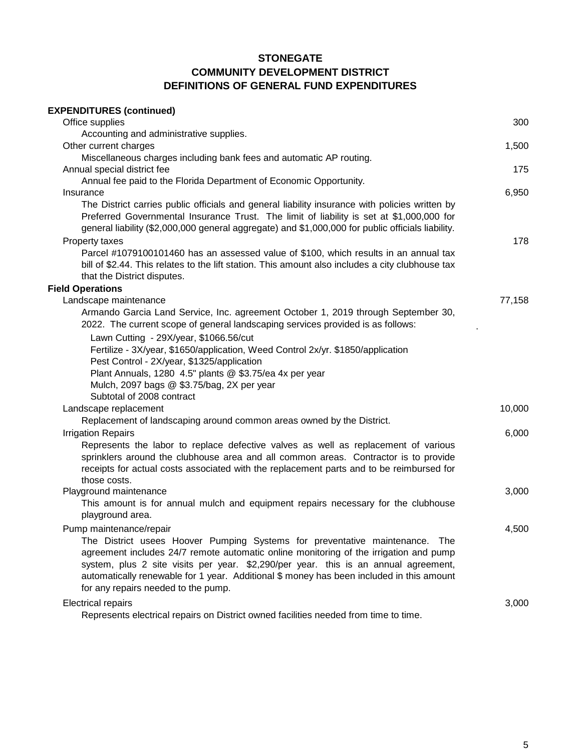| <b>EXPENDITURES (continued)</b>                                                                                                                                                                                                                                                                                                                                                                |        |
|------------------------------------------------------------------------------------------------------------------------------------------------------------------------------------------------------------------------------------------------------------------------------------------------------------------------------------------------------------------------------------------------|--------|
| Office supplies                                                                                                                                                                                                                                                                                                                                                                                | 300    |
| Accounting and administrative supplies.                                                                                                                                                                                                                                                                                                                                                        |        |
| Other current charges                                                                                                                                                                                                                                                                                                                                                                          | 1,500  |
| Miscellaneous charges including bank fees and automatic AP routing.<br>Annual special district fee                                                                                                                                                                                                                                                                                             | 175    |
| Annual fee paid to the Florida Department of Economic Opportunity.                                                                                                                                                                                                                                                                                                                             |        |
| Insurance                                                                                                                                                                                                                                                                                                                                                                                      | 6,950  |
| The District carries public officials and general liability insurance with policies written by<br>Preferred Governmental Insurance Trust. The limit of liability is set at \$1,000,000 for<br>general liability (\$2,000,000 general aggregate) and \$1,000,000 for public officials liability.                                                                                                |        |
| Property taxes                                                                                                                                                                                                                                                                                                                                                                                 | 178    |
| Parcel #1079100101460 has an assessed value of \$100, which results in an annual tax<br>bill of \$2.44. This relates to the lift station. This amount also includes a city clubhouse tax<br>that the District disputes.                                                                                                                                                                        |        |
| <b>Field Operations</b>                                                                                                                                                                                                                                                                                                                                                                        |        |
| Landscape maintenance                                                                                                                                                                                                                                                                                                                                                                          | 77,158 |
| Armando Garcia Land Service, Inc. agreement October 1, 2019 through September 30,<br>2022. The current scope of general landscaping services provided is as follows:                                                                                                                                                                                                                           |        |
| Lawn Cutting - 29X/year, \$1066.56/cut<br>Fertilize - 3X/year, \$1650/application, Weed Control 2x/yr. \$1850/application<br>Pest Control - 2X/year, \$1325/application<br>Plant Annuals, 1280 4.5" plants @ \$3.75/ea 4x per year<br>Mulch, 2097 bags @ \$3.75/bag, 2X per year<br>Subtotal of 2008 contract                                                                                  |        |
| Landscape replacement                                                                                                                                                                                                                                                                                                                                                                          | 10,000 |
| Replacement of landscaping around common areas owned by the District.                                                                                                                                                                                                                                                                                                                          |        |
| <b>Irrigation Repairs</b>                                                                                                                                                                                                                                                                                                                                                                      | 6,000  |
| Represents the labor to replace defective valves as well as replacement of various<br>sprinklers around the clubhouse area and all common areas. Contractor is to provide<br>receipts for actual costs associated with the replacement parts and to be reimbursed for<br>those costs.                                                                                                          |        |
| Playground maintenance                                                                                                                                                                                                                                                                                                                                                                         | 3,000  |
| This amount is for annual mulch and equipment repairs necessary for the clubhouse<br>playground area.                                                                                                                                                                                                                                                                                          |        |
| Pump maintenance/repair                                                                                                                                                                                                                                                                                                                                                                        | 4,500  |
| The District usees Hoover Pumping Systems for preventative maintenance. The<br>agreement includes 24/7 remote automatic online monitoring of the irrigation and pump<br>system, plus 2 site visits per year. \$2,290/per year. this is an annual agreement,<br>automatically renewable for 1 year. Additional \$ money has been included in this amount<br>for any repairs needed to the pump. |        |
| <b>Electrical repairs</b>                                                                                                                                                                                                                                                                                                                                                                      | 3,000  |
| Represents electrical repairs on District owned facilities needed from time to time.                                                                                                                                                                                                                                                                                                           |        |

5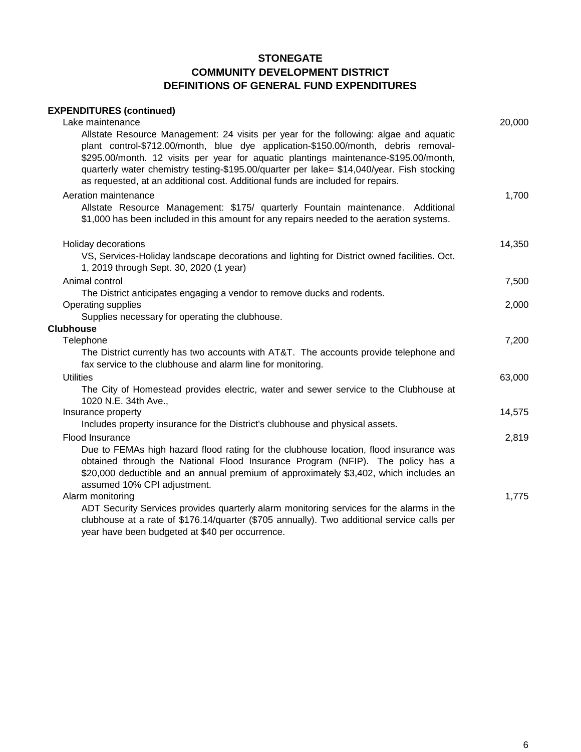#### **EXPENDITURES (continued)**

| Lake maintenance                                                                                                                                                                                                                                                                                | 20,000 |
|-------------------------------------------------------------------------------------------------------------------------------------------------------------------------------------------------------------------------------------------------------------------------------------------------|--------|
| Allstate Resource Management: 24 visits per year for the following: algae and aquatic<br>plant control-\$712.00/month, blue dye application-\$150.00/month, debris removal-<br>\$295.00/month. 12 visits per year for aquatic plantings maintenance-\$195.00/month,                             |        |
| quarterly water chemistry testing-\$195.00/quarter per lake= \$14,040/year. Fish stocking<br>as requested, at an additional cost. Additional funds are included for repairs.                                                                                                                    |        |
| Aeration maintenance                                                                                                                                                                                                                                                                            | 1,700  |
| Allstate Resource Management: \$175/ quarterly Fountain maintenance. Additional<br>\$1,000 has been included in this amount for any repairs needed to the aeration systems.                                                                                                                     |        |
| Holiday decorations                                                                                                                                                                                                                                                                             | 14,350 |
| VS, Services-Holiday landscape decorations and lighting for District owned facilities. Oct.<br>1, 2019 through Sept. 30, 2020 (1 year)                                                                                                                                                          |        |
| Animal control                                                                                                                                                                                                                                                                                  | 7,500  |
| The District anticipates engaging a vendor to remove ducks and rodents.<br>Operating supplies                                                                                                                                                                                                   | 2,000  |
| Supplies necessary for operating the clubhouse.                                                                                                                                                                                                                                                 |        |
| <b>Clubhouse</b>                                                                                                                                                                                                                                                                                |        |
| Telephone                                                                                                                                                                                                                                                                                       | 7,200  |
| The District currently has two accounts with AT&T. The accounts provide telephone and<br>fax service to the clubhouse and alarm line for monitoring.                                                                                                                                            |        |
| <b>Utilities</b>                                                                                                                                                                                                                                                                                | 63,000 |
| The City of Homestead provides electric, water and sewer service to the Clubhouse at<br>1020 N.E. 34th Ave.,                                                                                                                                                                                    |        |
| Insurance property                                                                                                                                                                                                                                                                              | 14,575 |
| Includes property insurance for the District's clubhouse and physical assets.                                                                                                                                                                                                                   |        |
| Flood Insurance                                                                                                                                                                                                                                                                                 | 2,819  |
| Due to FEMAs high hazard flood rating for the clubhouse location, flood insurance was<br>obtained through the National Flood Insurance Program (NFIP). The policy has a<br>\$20,000 deductible and an annual premium of approximately \$3,402, which includes an<br>assumed 10% CPI adjustment. |        |
| Alarm monitoring                                                                                                                                                                                                                                                                                | 1,775  |
| ADT Security Services provides quarterly alarm monitoring services for the alarms in the<br>clubhouse at a rate of \$176.14/quarter (\$705 annually). Two additional service calls per<br>year have been budgeted at \$40 per occurrence.                                                       |        |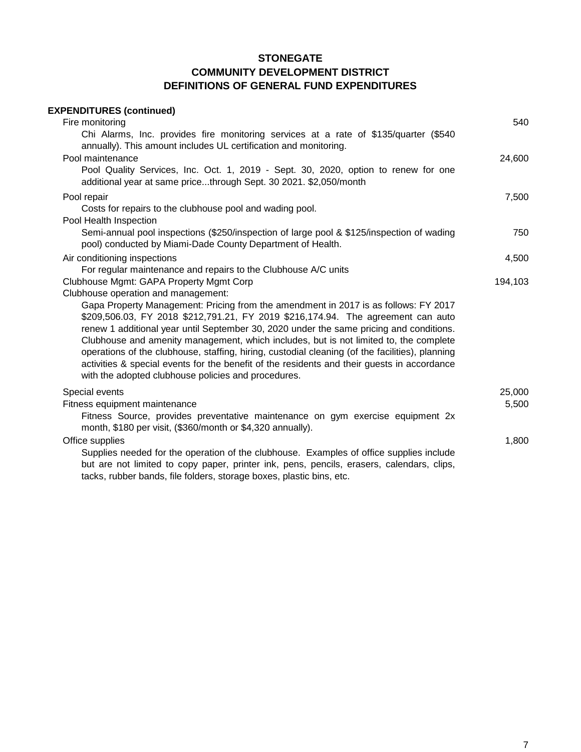| <b>EXPENDITURES (continued)</b><br>Fire monitoring                                                                                                                                                                                                                                                                                                                                                                                                                                                                                                                                                                   | 540             |
|----------------------------------------------------------------------------------------------------------------------------------------------------------------------------------------------------------------------------------------------------------------------------------------------------------------------------------------------------------------------------------------------------------------------------------------------------------------------------------------------------------------------------------------------------------------------------------------------------------------------|-----------------|
| Chi Alarms, Inc. provides fire monitoring services at a rate of \$135/quarter (\$540<br>annually). This amount includes UL certification and monitoring.                                                                                                                                                                                                                                                                                                                                                                                                                                                             |                 |
| Pool maintenance<br>Pool Quality Services, Inc. Oct. 1, 2019 - Sept. 30, 2020, option to renew for one<br>additional year at same pricethrough Sept. 30 2021. \$2,050/month                                                                                                                                                                                                                                                                                                                                                                                                                                          | 24,600          |
| Pool repair<br>Costs for repairs to the clubhouse pool and wading pool.<br>Pool Health Inspection                                                                                                                                                                                                                                                                                                                                                                                                                                                                                                                    | 7,500           |
| Semi-annual pool inspections (\$250/inspection of large pool & \$125/inspection of wading<br>pool) conducted by Miami-Dade County Department of Health.                                                                                                                                                                                                                                                                                                                                                                                                                                                              | 750             |
| Air conditioning inspections                                                                                                                                                                                                                                                                                                                                                                                                                                                                                                                                                                                         | 4,500           |
| For regular maintenance and repairs to the Clubhouse A/C units<br>Clubhouse Mgmt: GAPA Property Mgmt Corp<br>Clubhouse operation and management:                                                                                                                                                                                                                                                                                                                                                                                                                                                                     | 194,103         |
| Gapa Property Management: Pricing from the amendment in 2017 is as follows: FY 2017<br>\$209,506.03, FY 2018 \$212,791.21, FY 2019 \$216,174.94. The agreement can auto<br>renew 1 additional year until September 30, 2020 under the same pricing and conditions.<br>Clubhouse and amenity management, which includes, but is not limited to, the complete<br>operations of the clubhouse, staffing, hiring, custodial cleaning (of the facilities), planning<br>activities & special events for the benefit of the residents and their guests in accordance<br>with the adopted clubhouse policies and procedures. |                 |
| Special events<br>Fitness equipment maintenance<br>Fitness Source, provides preventative maintenance on gym exercise equipment 2x<br>month, \$180 per visit, (\$360/month or \$4,320 annually).                                                                                                                                                                                                                                                                                                                                                                                                                      | 25,000<br>5,500 |
| Office supplies<br>Supplies needed for the operation of the clubhouse. Examples of office supplies include<br>but are not limited to copy paper, printer ink, pens, pencils, erasers, calendars, clips,                                                                                                                                                                                                                                                                                                                                                                                                              | 1,800           |

tacks, rubber bands, file folders, storage boxes, plastic bins, etc.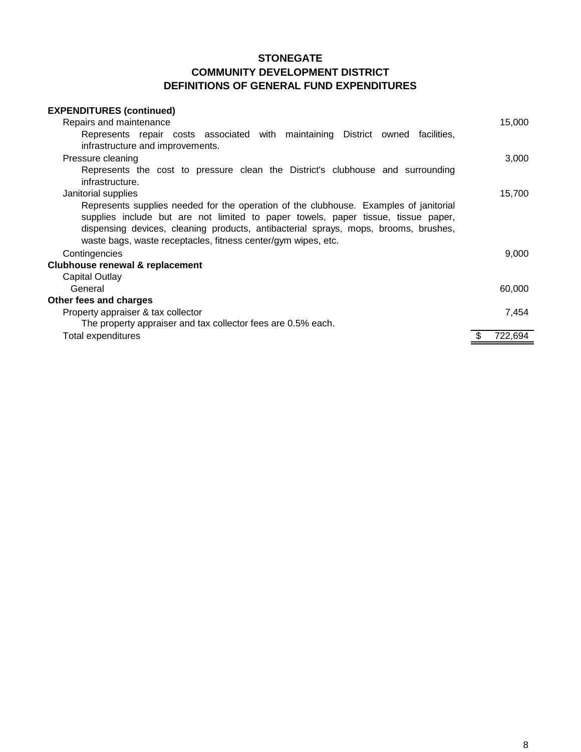| <b>EXPENDITURES (continued)</b>                                                       |         |
|---------------------------------------------------------------------------------------|---------|
| Repairs and maintenance                                                               | 15,000  |
| Represents repair costs associated with maintaining District owned facilities,        |         |
| infrastructure and improvements.                                                      |         |
| Pressure cleaning                                                                     | 3,000   |
| Represents the cost to pressure clean the District's clubhouse and surrounding        |         |
| infrastructure.                                                                       |         |
| Janitorial supplies                                                                   | 15,700  |
| Represents supplies needed for the operation of the clubhouse. Examples of janitorial |         |
| supplies include but are not limited to paper towels, paper tissue, tissue paper,     |         |
| dispensing devices, cleaning products, antibacterial sprays, mops, brooms, brushes,   |         |
| waste bags, waste receptacles, fitness center/gym wipes, etc.                         |         |
| Contingencies                                                                         | 9,000   |
| <b>Clubhouse renewal &amp; replacement</b>                                            |         |
| Capital Outlay                                                                        |         |
| General                                                                               | 60,000  |
| Other fees and charges                                                                |         |
| Property appraiser & tax collector                                                    | 7,454   |
| The property appraiser and tax collector fees are 0.5% each.                          |         |
| Total expenditures                                                                    | 722,694 |
|                                                                                       |         |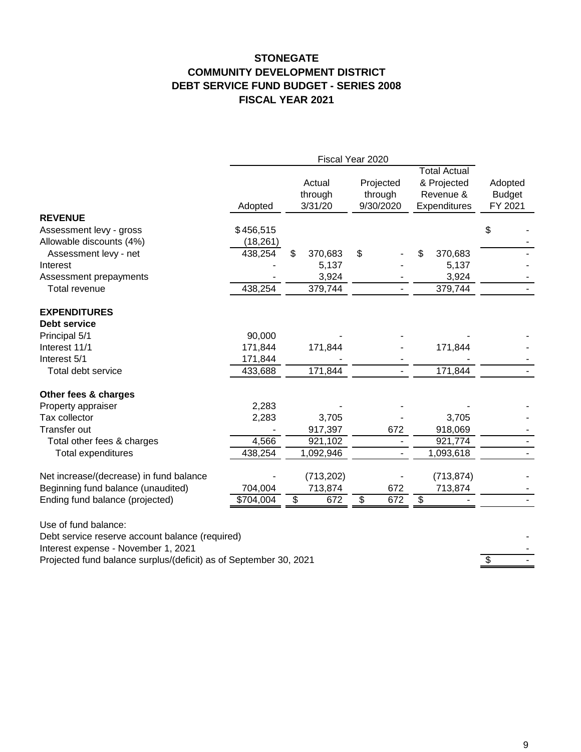#### **STONEGATE COMMUNITY DEVELOPMENT DISTRICT DEBT SERVICE FUND BUDGET - SERIES 2008 FISCAL YEAR 2021**

|                                                                   | Fiscal Year 2020 |    |            |    |           |                     |               |
|-------------------------------------------------------------------|------------------|----|------------|----|-----------|---------------------|---------------|
|                                                                   |                  |    |            |    |           | <b>Total Actual</b> |               |
|                                                                   |                  |    | Actual     |    | Projected | & Projected         | Adopted       |
|                                                                   |                  |    | through    |    | through   | Revenue &           | <b>Budget</b> |
|                                                                   | Adopted          |    | 3/31/20    |    | 9/30/2020 | Expenditures        | FY 2021       |
| <b>REVENUE</b>                                                    |                  |    |            |    |           |                     |               |
| Assessment levy - gross                                           | \$456,515        |    |            |    |           |                     | \$            |
| Allowable discounts (4%)                                          | (18, 261)        |    |            |    |           |                     |               |
| Assessment levy - net                                             | 438,254          | \$ | 370,683    | \$ |           | 370,683             |               |
| Interest                                                          |                  |    | 5,137      |    |           | 5,137               |               |
| Assessment prepayments                                            |                  |    | 3,924      |    |           | 3,924               |               |
| Total revenue                                                     | 438,254          |    | 379,744    |    |           | 379,744             |               |
| <b>EXPENDITURES</b>                                               |                  |    |            |    |           |                     |               |
| <b>Debt service</b>                                               |                  |    |            |    |           |                     |               |
| Principal 5/1                                                     | 90,000           |    |            |    |           |                     |               |
| Interest 11/1                                                     | 171,844          |    | 171,844    |    |           | 171,844             |               |
| Interest 5/1                                                      | 171,844          |    |            |    |           |                     |               |
| Total debt service                                                | 433,688          |    | 171,844    |    |           | 171,844             |               |
| Other fees & charges                                              |                  |    |            |    |           |                     |               |
| Property appraiser                                                | 2,283            |    |            |    |           |                     |               |
| Tax collector                                                     | 2,283            |    | 3,705      |    |           | 3,705               |               |
| Transfer out                                                      |                  |    | 917,397    |    | 672       | 918,069             |               |
| Total other fees & charges                                        | 4,566            |    | 921,102    |    |           | 921,774             |               |
| Total expenditures                                                | 438,254          |    | 1,092,946  |    |           | 1,093,618           |               |
| Net increase/(decrease) in fund balance                           |                  |    | (713, 202) |    |           | (713, 874)          |               |
| Beginning fund balance (unaudited)                                | 704,004          |    | 713,874    |    | 672       | 713,874             |               |
| Ending fund balance (projected)                                   | \$704,004        | \$ | 672        | \$ | 672       | \$                  |               |
| Use of fund balance:                                              |                  |    |            |    |           |                     |               |
| Debt service reserve account balance (required)                   |                  |    |            |    |           |                     |               |
| Interest expense - November 1, 2021                               |                  |    |            |    |           |                     |               |
| Projected fund balance surplus/(deficit) as of September 30, 2021 |                  |    |            |    |           |                     | \$            |
|                                                                   |                  |    |            |    |           |                     |               |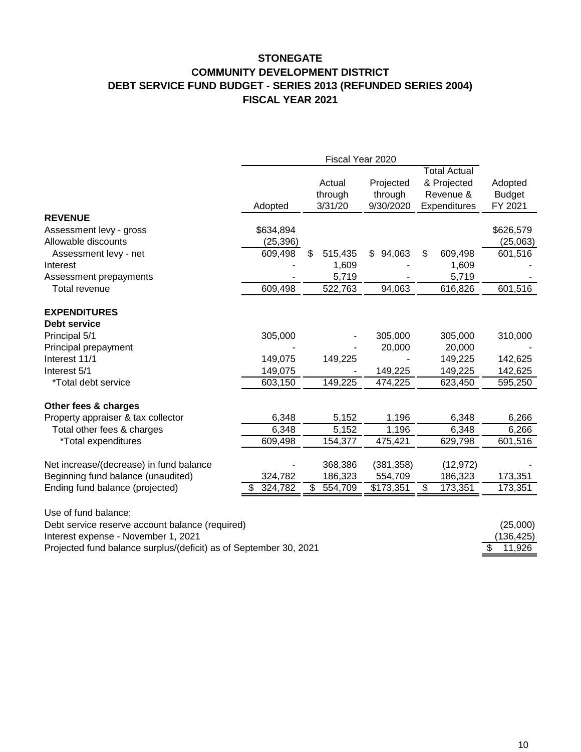#### **STONEGATE COMMUNITY DEVELOPMENT DISTRICT DEBT SERVICE FUND BUDGET - SERIES 2013 (REFUNDED SERIES 2004) FISCAL YEAR 2021**

|                                                                   | Fiscal Year 2020 |               |              |                     |               |
|-------------------------------------------------------------------|------------------|---------------|--------------|---------------------|---------------|
|                                                                   |                  |               |              | <b>Total Actual</b> |               |
|                                                                   |                  | Actual        | Projected    | & Projected         | Adopted       |
|                                                                   |                  | through       | through      | Revenue &           | <b>Budget</b> |
|                                                                   | Adopted          | 3/31/20       | 9/30/2020    | Expenditures        | FY 2021       |
| <b>REVENUE</b>                                                    |                  |               |              |                     |               |
| Assessment levy - gross                                           | \$634,894        |               |              |                     | \$626,579     |
| Allowable discounts                                               | (25, 396)        |               |              |                     | (25,063)      |
| Assessment levy - net                                             | 609,498          | \$<br>515,435 | \$<br>94,063 | \$<br>609,498       | 601,516       |
| Interest                                                          |                  | 1,609         |              | 1,609               |               |
| Assessment prepayments                                            |                  | 5,719         |              | 5,719               |               |
| Total revenue                                                     | 609,498          | 522,763       | 94,063       | 616,826             | 601,516       |
| <b>EXPENDITURES</b>                                               |                  |               |              |                     |               |
| Debt service                                                      |                  |               |              |                     |               |
| Principal 5/1                                                     | 305,000          |               | 305,000      | 305,000             | 310,000       |
| Principal prepayment                                              |                  |               | 20,000       | 20,000              |               |
| Interest 11/1                                                     | 149,075          | 149,225       |              | 149,225             | 142,625       |
| Interest 5/1                                                      | 149,075          |               | 149,225      | 149,225             | 142,625       |
| *Total debt service                                               | 603,150          | 149,225       | 474,225      | 623,450             | 595,250       |
| Other fees & charges                                              |                  |               |              |                     |               |
| Property appraiser & tax collector                                | 6,348            | 5,152         | 1,196        | 6,348               | 6,266         |
| Total other fees & charges                                        | 6,348            | 5,152         | 1,196        | 6,348               | 6,266         |
| *Total expenditures                                               | 609,498          | 154,377       | 475,421      | 629,798             | 601,516       |
| Net increase/(decrease) in fund balance                           |                  | 368,386       | (381, 358)   | (12, 972)           |               |
| Beginning fund balance (unaudited)                                | 324,782          | 186,323       | 554,709      | 186,323             | 173,351       |
| Ending fund balance (projected)                                   | 324,782<br>\$    | \$<br>554,709 | \$173,351    | 173,351<br>\$       | 173,351       |
|                                                                   |                  |               |              |                     |               |
| Use of fund balance:                                              |                  |               |              |                     |               |
| Debt service reserve account balance (required)                   |                  |               |              |                     | (25,000)      |
| Interest expense - November 1, 2021                               |                  |               |              |                     | (136, 425)    |
| Projected fund balance surplus/(deficit) as of September 30, 2021 |                  |               |              |                     | \$<br>11,926  |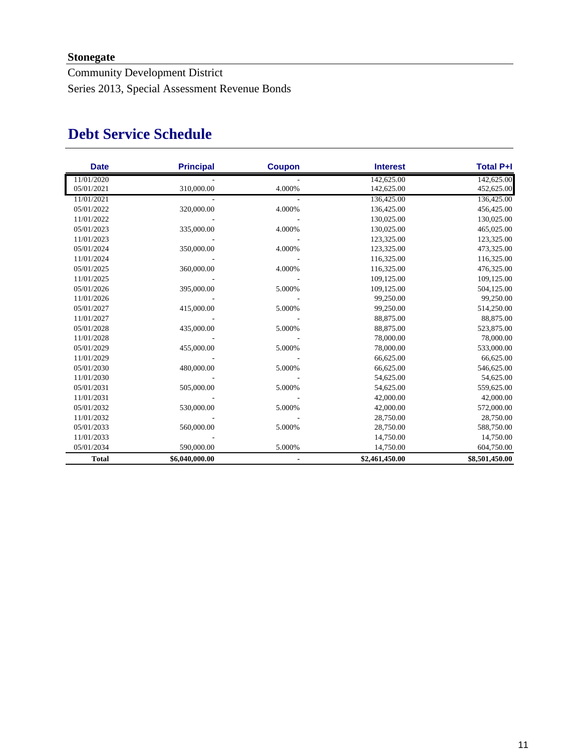### **Stonegate**

Community Development District Series 2013, Special Assessment Revenue Bonds

# **Debt Service Schedule**

| <b>Date</b>  | <b>Principal</b> | <b>Coupon</b> | <b>Interest</b> | <b>Total P+I</b> |
|--------------|------------------|---------------|-----------------|------------------|
| 11/01/2020   |                  |               | 142,625.00      | 142,625.00       |
| 05/01/2021   | 310,000.00       | 4.000%        | 142,625.00      | 452,625.00       |
| 11/01/2021   |                  |               | 136,425.00      | 136,425.00       |
| 05/01/2022   | 320,000.00       | 4.000%        | 136,425.00      | 456,425.00       |
| 11/01/2022   |                  |               | 130,025.00      | 130,025.00       |
| 05/01/2023   | 335,000.00       | 4.000%        | 130,025.00      | 465,025.00       |
| 11/01/2023   |                  |               | 123,325.00      | 123,325.00       |
| 05/01/2024   | 350,000.00       | 4.000%        | 123,325.00      | 473,325.00       |
| 11/01/2024   |                  |               | 116,325.00      | 116,325.00       |
| 05/01/2025   | 360,000.00       | 4.000%        | 116,325.00      | 476,325.00       |
| 11/01/2025   |                  |               | 109,125.00      | 109,125.00       |
| 05/01/2026   | 395,000.00       | 5.000%        | 109,125.00      | 504,125.00       |
| 11/01/2026   |                  |               | 99,250.00       | 99,250.00        |
| 05/01/2027   | 415,000.00       | 5.000%        | 99,250.00       | 514,250.00       |
| 11/01/2027   |                  |               | 88,875.00       | 88,875.00        |
| 05/01/2028   | 435,000.00       | 5.000%        | 88,875.00       | 523,875.00       |
| 11/01/2028   |                  |               | 78,000.00       | 78,000.00        |
| 05/01/2029   | 455,000.00       | 5.000%        | 78,000.00       | 533,000.00       |
| 11/01/2029   |                  |               | 66,625.00       | 66,625.00        |
| 05/01/2030   | 480,000.00       | 5.000%        | 66,625.00       | 546,625.00       |
| 11/01/2030   |                  |               | 54,625.00       | 54,625.00        |
| 05/01/2031   | 505,000.00       | 5.000%        | 54,625.00       | 559,625.00       |
| 11/01/2031   |                  |               | 42,000.00       | 42,000.00        |
| 05/01/2032   | 530,000.00       | 5.000%        | 42,000.00       | 572,000.00       |
| 11/01/2032   |                  |               | 28,750.00       | 28,750.00        |
| 05/01/2033   | 560,000.00       | 5.000%        | 28,750.00       | 588,750.00       |
| 11/01/2033   |                  |               | 14,750.00       | 14,750.00        |
| 05/01/2034   | 590,000.00       | 5.000%        | 14,750.00       | 604,750.00       |
| <b>Total</b> | \$6,040,000.00   |               | \$2,461,450.00  | \$8,501,450.00   |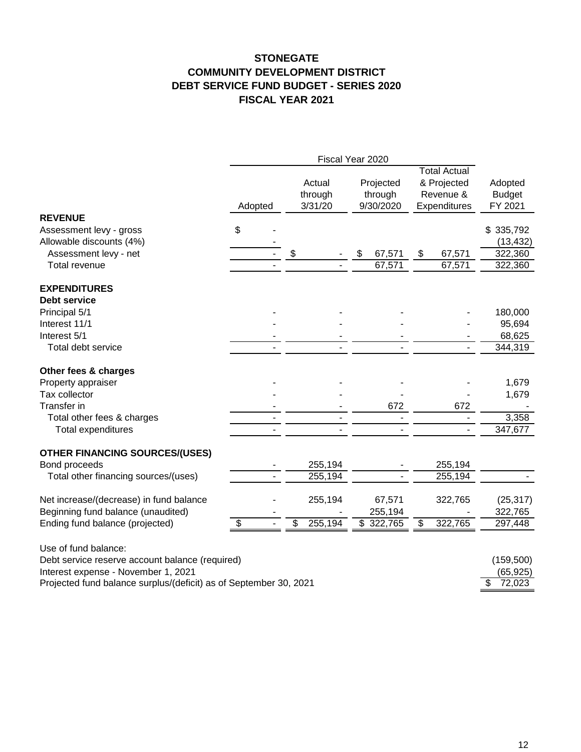#### **STONEGATE COMMUNITY DEVELOPMENT DISTRICT DEBT SERVICE FUND BUDGET - SERIES 2020 FISCAL YEAR 2021**

|                                                                   | Fiscal Year 2020 |  |                              |                                   |                                                                 |                                                 |  |
|-------------------------------------------------------------------|------------------|--|------------------------------|-----------------------------------|-----------------------------------------------------------------|-------------------------------------------------|--|
|                                                                   | Adopted          |  | Actual<br>through<br>3/31/20 | Projected<br>through<br>9/30/2020 | <b>Total Actual</b><br>& Projected<br>Revenue &<br>Expenditures | Adopted<br><b>Budget</b><br>FY 2021             |  |
| <b>REVENUE</b>                                                    |                  |  |                              |                                   |                                                                 |                                                 |  |
| Assessment levy - gross                                           | \$               |  |                              |                                   |                                                                 | \$335,792                                       |  |
| Allowable discounts (4%)                                          |                  |  |                              |                                   |                                                                 | (13, 432)                                       |  |
| Assessment levy - net                                             |                  |  | \$                           | \$<br>67,571                      | \$<br>67,571                                                    | 322,360                                         |  |
| <b>Total revenue</b>                                              |                  |  |                              | 67,571                            | 67,571                                                          | 322,360                                         |  |
| <b>EXPENDITURES</b>                                               |                  |  |                              |                                   |                                                                 |                                                 |  |
| Debt service                                                      |                  |  |                              |                                   |                                                                 |                                                 |  |
| Principal 5/1                                                     |                  |  |                              |                                   |                                                                 | 180,000                                         |  |
| Interest 11/1                                                     |                  |  |                              |                                   |                                                                 | 95,694                                          |  |
| Interest 5/1                                                      |                  |  |                              |                                   |                                                                 | 68,625                                          |  |
| Total debt service                                                |                  |  |                              |                                   |                                                                 | 344,319                                         |  |
| Other fees & charges                                              |                  |  |                              |                                   |                                                                 |                                                 |  |
| Property appraiser                                                |                  |  |                              |                                   |                                                                 | 1,679                                           |  |
| Tax collector                                                     |                  |  |                              |                                   |                                                                 | 1,679                                           |  |
| Transfer in                                                       |                  |  |                              | 672                               | 672                                                             |                                                 |  |
| Total other fees & charges                                        |                  |  |                              |                                   |                                                                 | 3,358                                           |  |
| Total expenditures                                                |                  |  |                              |                                   |                                                                 | 347,677                                         |  |
| <b>OTHER FINANCING SOURCES/(USES)</b>                             |                  |  |                              |                                   |                                                                 |                                                 |  |
| Bond proceeds                                                     |                  |  | 255,194                      |                                   | 255,194                                                         |                                                 |  |
| Total other financing sources/(uses)                              |                  |  | 255,194                      |                                   | 255,194                                                         |                                                 |  |
| Net increase/(decrease) in fund balance                           |                  |  | 255,194                      | 67,571                            | 322,765                                                         | (25, 317)                                       |  |
| Beginning fund balance (unaudited)                                |                  |  |                              | 255,194                           |                                                                 | 322,765                                         |  |
| Ending fund balance (projected)                                   | \$               |  | 255,194<br>\$                | $\overline{\$}$ 322,765           | \$<br>322,765                                                   | 297,448                                         |  |
| Use of fund balance:                                              |                  |  |                              |                                   |                                                                 |                                                 |  |
| Debt service reserve account balance (required)                   |                  |  |                              |                                   |                                                                 | (159, 500)                                      |  |
| Interest expense - November 1, 2021                               |                  |  |                              |                                   |                                                                 |                                                 |  |
| Projected fund balance surplus/(deficit) as of September 30, 2021 |                  |  |                              |                                   |                                                                 | (65, 925)<br>$\overline{\mathcal{S}}$<br>72,023 |  |
|                                                                   |                  |  |                              |                                   |                                                                 |                                                 |  |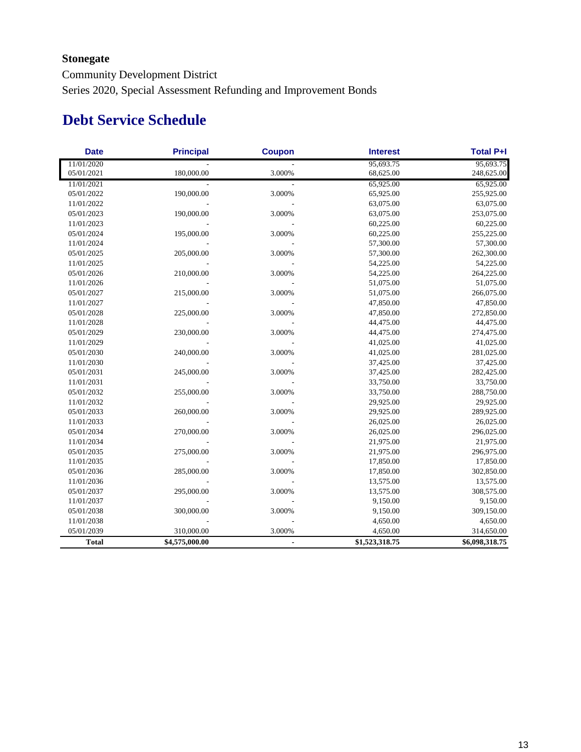### **Stonegate**

Community Development District Series 2020, Special Assessment Refunding and Improvement Bonds

# **Debt Service Schedule**

| <b>Date</b>  | <b>Principal</b> | <b>Coupon</b>  | <b>Interest</b> | <b>Total P+I</b> |
|--------------|------------------|----------------|-----------------|------------------|
| 11/01/2020   |                  |                | 95,693.75       | 95,693.75        |
| 05/01/2021   | 180,000.00       | 3.000%         | 68,625.00       | 248,625.00       |
| 11/01/2021   |                  |                | 65,925.00       | 65,925.00        |
| 05/01/2022   | 190,000.00       | 3.000%         | 65,925.00       | 255,925.00       |
| 11/01/2022   |                  |                | 63,075.00       | 63,075.00        |
| 05/01/2023   | 190,000.00       | 3.000%         | 63,075.00       | 253,075.00       |
| 11/01/2023   |                  |                | 60,225.00       | 60,225.00        |
| 05/01/2024   | 195,000.00       | 3.000%         | 60,225.00       | 255,225.00       |
| 11/01/2024   |                  |                | 57,300.00       | 57,300.00        |
| 05/01/2025   | 205,000.00       | 3.000%         | 57,300.00       | 262,300.00       |
| 11/01/2025   |                  |                | 54,225.00       | 54,225.00        |
| 05/01/2026   | 210,000.00       | 3.000%         | 54,225.00       | 264,225.00       |
| 11/01/2026   |                  |                | 51,075.00       | 51,075.00        |
| 05/01/2027   | 215,000.00       | 3.000%         | 51,075.00       | 266,075.00       |
| 11/01/2027   |                  |                | 47,850.00       | 47,850.00        |
| 05/01/2028   | 225,000.00       | 3.000%         | 47,850.00       | 272,850.00       |
| 11/01/2028   |                  |                | 44,475.00       | 44,475.00        |
| 05/01/2029   | 230,000.00       | 3.000%         | 44,475.00       | 274,475.00       |
| 11/01/2029   |                  |                | 41,025.00       | 41,025.00        |
| 05/01/2030   | 240,000.00       | 3.000%         | 41,025.00       | 281,025.00       |
| 11/01/2030   |                  |                | 37,425.00       | 37,425.00        |
| 05/01/2031   | 245,000.00       | 3.000%         | 37,425.00       | 282,425.00       |
| 11/01/2031   |                  |                | 33,750.00       | 33,750.00        |
| 05/01/2032   | 255,000.00       | 3.000%         | 33,750.00       | 288,750.00       |
| 11/01/2032   |                  |                | 29,925.00       | 29,925.00        |
| 05/01/2033   | 260,000.00       | 3.000%         | 29,925.00       | 289,925.00       |
| 11/01/2033   |                  |                | 26,025.00       | 26,025.00        |
| 05/01/2034   | 270,000.00       | 3.000%         | 26,025.00       | 296,025.00       |
| 11/01/2034   |                  |                | 21,975.00       | 21,975.00        |
| 05/01/2035   | 275,000.00       | 3.000%         | 21,975.00       | 296,975.00       |
| 11/01/2035   |                  |                | 17,850.00       | 17,850.00        |
| 05/01/2036   | 285,000.00       | 3.000%         | 17,850.00       | 302,850.00       |
| 11/01/2036   |                  |                | 13,575.00       | 13,575.00        |
| 05/01/2037   | 295,000.00       | 3.000%         | 13,575.00       | 308,575.00       |
| 11/01/2037   |                  |                | 9,150.00        | 9,150.00         |
| 05/01/2038   | 300,000.00       | 3.000%         | 9,150.00        | 309,150.00       |
| 11/01/2038   |                  |                | 4,650.00        | 4,650.00         |
| 05/01/2039   | 310,000.00       | 3.000%         | 4,650.00        | 314,650.00       |
| <b>Total</b> | \$4,575,000.00   | $\blacksquare$ | \$1,523,318.75  | \$6,098,318.75   |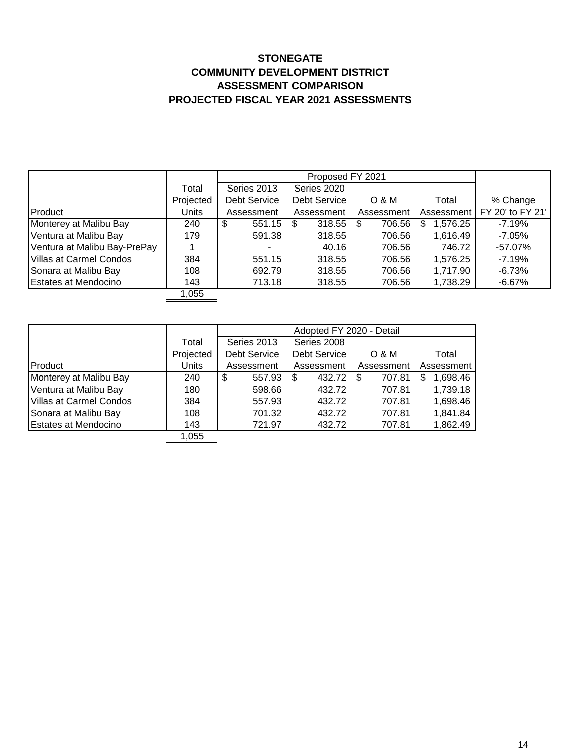#### **STONEGATE COMMUNITY DEVELOPMENT DISTRICT ASSESSMENT COMPARISON PROJECTED FISCAL YEAR 2021 ASSESSMENTS**

|                                | Total     | Series 2013         | Series 2020  |             |               |                  |
|--------------------------------|-----------|---------------------|--------------|-------------|---------------|------------------|
|                                | Projected | <b>Debt Service</b> | Debt Service | O & M       | Total         | % Change         |
| Product                        | Units     | Assessment          | Assessment   | Assessment  | Assessment    | FY 20' to FY 21' |
| Monterey at Malibu Bay         | 240       | 551.15<br>\$        | 318.55<br>S  | 706.56<br>S | 1,576.25<br>S | $-7.19%$         |
| Ventura at Malibu Bay          | 179       | 591.38              | 318.55       | 706.56      | 1,616.49      | $-7.05\%$        |
| Ventura at Malibu Bay-PrePay   |           | -                   | 40.16        | 706.56      | 746.72        | $-57.07\%$       |
| <b>Villas at Carmel Condos</b> | 384       | 551.15              | 318.55       | 706.56      | 1,576.25      | $-7.19%$         |
| Sonara at Malibu Bay           | 108       | 692.79              | 318.55       | 706.56      | 1,717.90      | $-6.73%$         |
| <b>Estates at Mendocino</b>    | 143       | 713.18              | 318.55       | 706.56      | 1,738.29      | -6.67%           |
|                                | 1,055     |                     |              |             |               |                  |

|                                |           | Adopted FY 2020 - Detail |              |            |               |  |
|--------------------------------|-----------|--------------------------|--------------|------------|---------------|--|
|                                | Total     | Series 2013              | Series 2008  |            |               |  |
|                                | Projected | <b>Debt Service</b>      | Debt Service | $O$ & M    | Total         |  |
| Product                        | Units     | Assessment               | Assessment   | Assessment | Assessment    |  |
| Monterey at Malibu Bay         | 240       | \$<br>557.93             | 432.72<br>S  | 707.81     | 1,698.46<br>S |  |
| Ventura at Malibu Bay          | 180       | 598.66                   | 432.72       | 707.81     | 1,739.18      |  |
| <b>Villas at Carmel Condos</b> | 384       | 557.93                   | 432.72       | 707.81     | 1,698.46      |  |
| Sonara at Malibu Bay           | 108       | 701.32                   | 432.72       | 707.81     | 1,841.84      |  |
| <b>Estates at Mendocino</b>    | 143       | 721.97                   | 432.72       | 707.81     | 1,862.49      |  |
|                                | 1,055     |                          |              |            |               |  |

 $\sim$